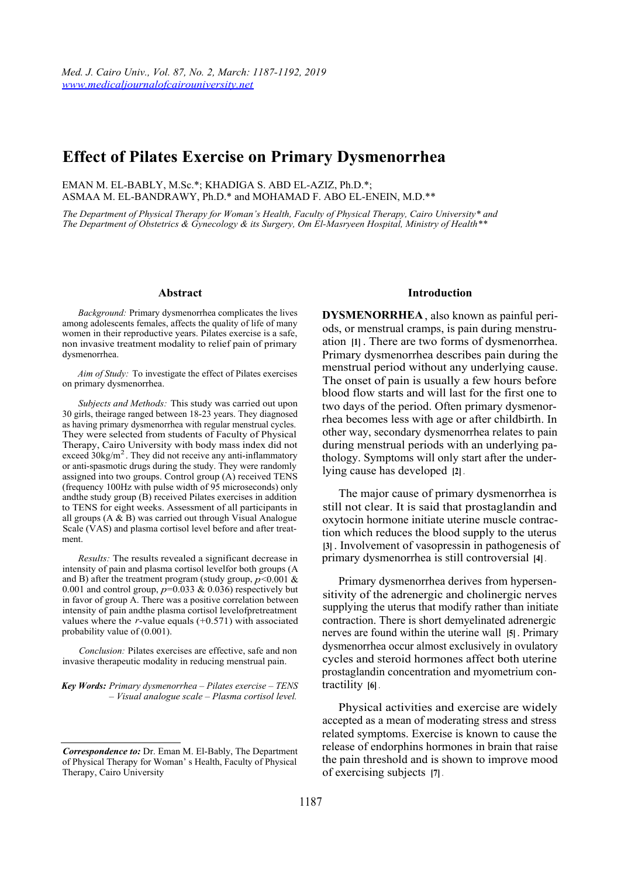## **Effect of Pilates Exercise on Primary Dysmenorrhea**

EMAN M. EL-BABLY, M.Sc.\*; KHADIGA S. ABD EL-AZIZ, Ph.D.\*;

ASMAA M. EL-BANDRAWY, Ph.D.\* and MOHAMAD F. ABO EL-ENEIN, M.D.\*\*

*The Department of Physical Therapy for Woman's Health, Faculty of Physical Therapy, Cairo University\* and The Department of Obstetrics & Gynecology & its Surgery, Om El-Masryeen Hospital, Ministry of Health\*\** 

#### **Abstract**

*Background:* Primary dysmenorrhea complicates the lives among adolescents females, affects the quality of life of many women in their reproductive years. Pilates exercise is a safe, non invasive treatment modality to relief pain of primary dysmenorrhea.

*Aim of Study:* To investigate the effect of Pilates exercises on primary dysmenorrhea.

*Subjects and Methods:* This study was carried out upon 30 girls, theirage ranged between 18-23 years. They diagnosed as having primary dysmenorrhea with regular menstrual cycles. They were selected from students of Faculty of Physical Therapy, Cairo University with body mass index did not exceed 30kg/m<sup>2</sup>. They did not receive any anti-inflammatory or anti-spasmotic drugs during the study. They were randomly assigned into two groups. Control group (A) received TENS (frequency 100Hz with pulse width of 95 microseconds) only andthe study group (B) received Pilates exercises in addition to TENS for eight weeks. Assessment of all participants in all groups (A & B) was carried out through Visual Analogue Scale (VAS) and plasma cortisol level before and after treatment.

*Results:* The results revealed a significant decrease in intensity of pain and plasma cortisol levelfor both groups (A and B) after the treatment program (study group,  $p < 0.001$  & 0.001 and control group,  $p=0.033 \& 0.036$ ) respectively but in favor of group A. There was a positive correlation between intensity of pain andthe plasma cortisol levelofpretreatment values where the *r*-value equals (+0.571) with associated probability value of (0.001).

*Conclusion:* Pilates exercises are effective, safe and non invasive therapeutic modality in reducing menstrual pain.

*Key Words: Primary dysmenorrhea – Pilates exercise – TENS – Visual analogue scale – Plasma cortisol level.* 

#### **Introduction**

**DYSMENORRHEA**, also known as painful periods, or menstrual cramps, is pain during menstruation **[1]** . There are two forms of dysmenorrhea. Primary dysmenorrhea describes pain during the menstrual period without any underlying cause. The onset of pain is usually a few hours before blood flow starts and will last for the first one to two days of the period. Often primary dysmenorrhea becomes less with age or after childbirth. In other way, secondary dysmenorrhea relates to pain during menstrual periods with an underlying pathology. Symptoms will only start after the underlying cause has developed **[2]** .

The major cause of primary dysmenorrhea is still not clear. It is said that prostaglandin and oxytocin hormone initiate uterine muscle contraction which reduces the blood supply to the uterus **[3]** . Involvement of vasopressin in pathogenesis of primary dysmenorrhea is still controversial **[4]** .

Primary dysmenorrhea derives from hypersensitivity of the adrenergic and cholinergic nerves supplying the uterus that modify rather than initiate contraction. There is short demyelinated adrenergic nerves are found within the uterine wall **[5]** . Primary dysmenorrhea occur almost exclusively in ovulatory cycles and steroid hormones affect both uterine prostaglandin concentration and myometrium contractility **[6]** .

Physical activities and exercise are widely accepted as a mean of moderating stress and stress related symptoms. Exercise is known to cause the release of endorphins hormones in brain that raise the pain threshold and is shown to improve mood of exercising subjects **[7]** .

*Correspondence to:* Dr. Eman M. El-Bably, The Department of Physical Therapy for Woman' s Health, Faculty of Physical Therapy, Cairo University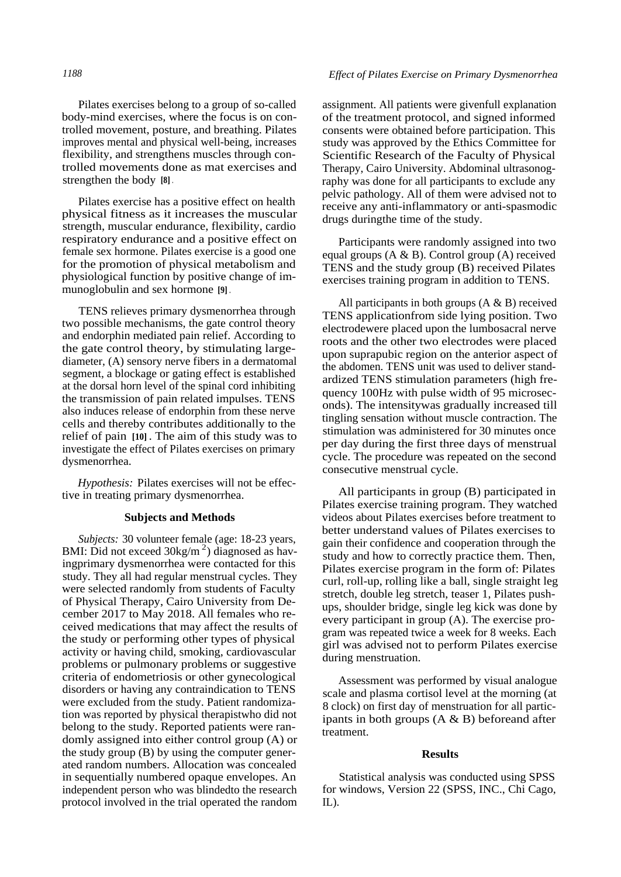Pilates exercises belong to a group of so-called body-mind exercises, where the focus is on controlled movement, posture, and breathing. Pilates improves mental and physical well-being, increases flexibility, and strengthens muscles through controlled movements done as mat exercises and strengthen the body **[8]** .

Pilates exercise has a positive effect on health physical fitness as it increases the muscular strength, muscular endurance, flexibility, cardio respiratory endurance and a positive effect on female sex hormone. Pilates exercise is a good one for the promotion of physical metabolism and physiological function by positive change of immunoglobulin and sex hormone **[9]** .

TENS relieves primary dysmenorrhea through two possible mechanisms, the gate control theory and endorphin mediated pain relief. According to the gate control theory, by stimulating largediameter, (A) sensory nerve fibers in a dermatomal segment, a blockage or gating effect is established at the dorsal horn level of the spinal cord inhibiting the transmission of pain related impulses. TENS also induces release of endorphin from these nerve cells and thereby contributes additionally to the relief of pain **[10]** . The aim of this study was to investigate the effect of Pilates exercises on primary dysmenorrhea.

*Hypothesis:* Pilates exercises will not be effective in treating primary dysmenorrhea.

#### **Subjects and Methods**

*Subjects:* 30 volunteer female (age: 18-23 years, BMI: Did not exceed  $30\text{kg/m}^2$ ) diagnosed as havingprimary dysmenorrhea were contacted for this study. They all had regular menstrual cycles. They were selected randomly from students of Faculty of Physical Therapy, Cairo University from December 2017 to May 2018. All females who received medications that may affect the results of the study or performing other types of physical activity or having child, smoking, cardiovascular problems or pulmonary problems or suggestive criteria of endometriosis or other gynecological disorders or having any contraindication to TENS were excluded from the study. Patient randomization was reported by physical therapistwho did not belong to the study. Reported patients were randomly assigned into either control group (A) or the study group (B) by using the computer generated random numbers. Allocation was concealed in sequentially numbered opaque envelopes. An independent person who was blindedto the research protocol involved in the trial operated the random

assignment. All patients were givenfull explanation of the treatment protocol, and signed informed consents were obtained before participation. This study was approved by the Ethics Committee for Scientific Research of the Faculty of Physical Therapy, Cairo University. Abdominal ultrasonography was done for all participants to exclude any pelvic pathology. All of them were advised not to receive any anti-inflammatory or anti-spasmodic drugs duringthe time of the study.

Participants were randomly assigned into two equal groups (A & B). Control group (A) received TENS and the study group (B) received Pilates exercises training program in addition to TENS.

All participants in both groups  $(A \& B)$  received TENS applicationfrom side lying position. Two electrodewere placed upon the lumbosacral nerve roots and the other two electrodes were placed upon suprapubic region on the anterior aspect of the abdomen. TENS unit was used to deliver standardized TENS stimulation parameters (high frequency 100Hz with pulse width of 95 microseconds). The intensitywas gradually increased till tingling sensation without muscle contraction. The stimulation was administered for 30 minutes once per day during the first three days of menstrual cycle. The procedure was repeated on the second consecutive menstrual cycle.

All participants in group (B) participated in Pilates exercise training program. They watched videos about Pilates exercises before treatment to better understand values of Pilates exercises to gain their confidence and cooperation through the study and how to correctly practice them. Then, Pilates exercise program in the form of: Pilates curl, roll-up, rolling like a ball, single straight leg stretch, double leg stretch, teaser 1, Pilates pushups, shoulder bridge, single leg kick was done by every participant in group (A). The exercise program was repeated twice a week for 8 weeks. Each girl was advised not to perform Pilates exercise during menstruation.

Assessment was performed by visual analogue scale and plasma cortisol level at the morning (at 8 clock) on first day of menstruation for all participants in both groups  $(A \& B)$  beforeand after treatment.

#### **Results**

Statistical analysis was conducted using SPSS for windows, Version 22 (SPSS, INC., Chi Cago, IL).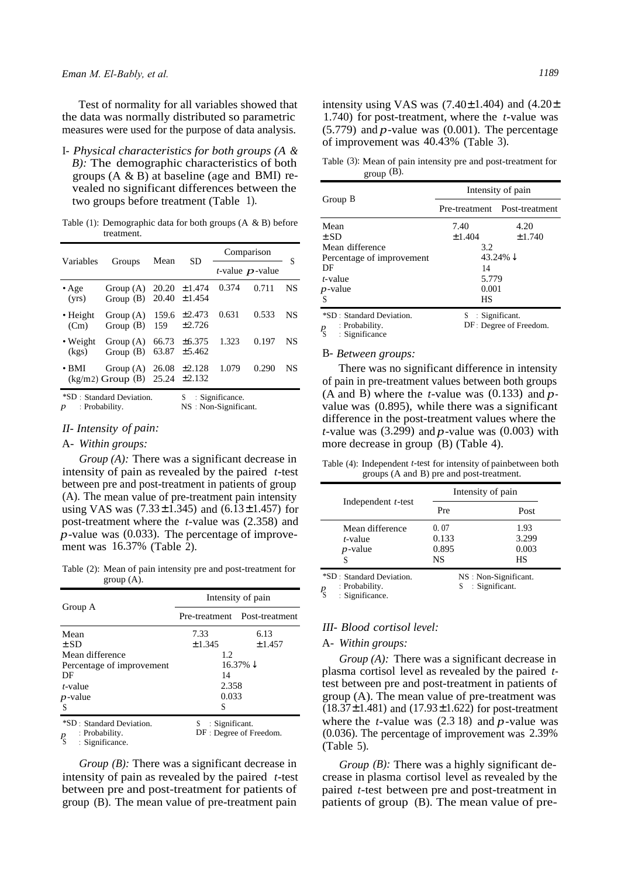Test of normality for all variables showed that the data was normally distributed so parametric measures were used for the purpose of data analysis.

I- *Physical characteristics for both groups (A & B):* The demographic characteristics of both groups  $(A \& B)$  at baseline (age and BMI) revealed no significant differences between the two groups before treatment (Table 1).

Table (1): Demographic data for both groups  $(A \& B)$  before treatment.

| Variables                 | Groups                               | Mean           |                             | Comparison |                            | S  |
|---------------------------|--------------------------------------|----------------|-----------------------------|------------|----------------------------|----|
|                           |                                      |                | SD                          |            | <i>t</i> -value $p$ -value |    |
| $\bullet$ Age<br>(vrs)    | Group $(A)$<br>Group $(B)$           | 20.20<br>20.40 | ±1.474<br>±1.454            | 0.374      | 0.711                      | NS |
| $\bullet$ Height<br>(Cm)  | Group $(A)$<br>Group $(B)$           | 159.6<br>159   | ±2.473<br>±2.726            | 0.631      | 0.533                      | NS |
| • Weight<br>(kgs)         | Group(A)<br>Group $(B)$              | 66.73<br>63.87 | $\pm 6.375$<br>±5.462       | 1.323      | 0.197                      | NS |
| $\cdot$ BMI               | Group $(A)$<br>$(kg/m2)$ Group $(B)$ | 26.08          | ±2.128<br>$25.24 \pm 2.132$ | 1.079      | 0.290                      | NS |
| *SD : Standard Deviation. |                                      | S              | : Significance.             |            |                            |    |

*p* : Probability. NS : Non-Significant.

### *II- Intensity of pain:*

#### A- *Within groups:*

*Group (A):* There was a significant decrease in intensity of pain as revealed by the paired *t*-test between pre and post-treatment in patients of group (A). The mean value of pre-treatment pain intensity using VAS was  $(7.33 \pm 1.345)$  and  $(6.13 \pm 1.457)$  for post-treatment where the *t*-value was (2.358) and *p*-value was (0.033). The percentage of improvement was 16.37% (Table 2).

Table (2): Mean of pain intensity pre and post-treatment for group (A).

|                                                                                           | Intensity of pain<br>Pre-treatment Post-treatment |                         |
|-------------------------------------------------------------------------------------------|---------------------------------------------------|-------------------------|
| Group A                                                                                   |                                                   |                         |
| Mean                                                                                      | 7.33                                              | 6.13                    |
| $\pm$ SD                                                                                  | ±1.345                                            | ±1.457                  |
| Mean difference                                                                           | 1.2                                               |                         |
| Percentage of improvement                                                                 | $16.37\% \downarrow$                              |                         |
| DF                                                                                        | 14                                                |                         |
| t-value                                                                                   | 2.358                                             |                         |
| $p$ -value                                                                                | 0.033                                             |                         |
| -S                                                                                        | S                                                 |                         |
| *SD : Standard Deviation.<br>: Probability.<br>$\frac{p}{\mathcal{S}}$<br>: Significance. | : Significant.<br>S                               | DF : Degree of Freedom. |

*Group (B)*: There was a significant decrease in intensity of pain as revealed by the paired *t*-test between pre and post-treatment for patients of group (B).The mean value of pre-treatment pain

intensity using VAS was  $(7.40 \pm 1.404)$  and  $(4.20 \pm 1.404)$ 1.740) for post-treatment, where the *t*-value was  $(5.779)$  and *p*-value was  $(0.001)$ . The percentage of improvement was 40.43% (Table 3).

Table (3): Mean of pain intensity pre and post-treatment for group  $(B)$ .

|                                                 | Intensity of pain                                                                                                                                                  |        |  |
|-------------------------------------------------|--------------------------------------------------------------------------------------------------------------------------------------------------------------------|--------|--|
| Group B                                         | Pre-treatment Post-treatment<br>4.20<br>7.40<br>±1.404<br>3.2<br>43.24% $\downarrow$<br>14<br>5.779<br>0.001<br>HS<br>$S$ : Significant.<br>DF: Degree of Freedom. |        |  |
| Mean                                            |                                                                                                                                                                    |        |  |
| $\pm$ SD                                        |                                                                                                                                                                    | ±1.740 |  |
| Mean difference                                 |                                                                                                                                                                    |        |  |
| Percentage of improvement                       |                                                                                                                                                                    |        |  |
| DF                                              |                                                                                                                                                                    |        |  |
| <i>t</i> -value                                 |                                                                                                                                                                    |        |  |
| $p$ -value                                      |                                                                                                                                                                    |        |  |
| S                                               |                                                                                                                                                                    |        |  |
| <i>*SD</i> : Standard Deviation.                |                                                                                                                                                                    |        |  |
| : Probability.<br>$P_{\rm S}$<br>: Significance |                                                                                                                                                                    |        |  |

#### B- *Between groups:*

There was no significant difference in intensity of pain in pre-treatment values between both groups (A and B) where the *t*-value was  $(0.133)$  and  $p$ value was (0.895), while there was a significant difference in the post-treatment values where the *t*-value was (3.299) and  $p$ -value was (0.003) with more decrease in group (B) (Table 4).

Table (4): Independent *t*-test for intensity of painbetween both groups (A and B) pre and post-treatment.

|                                             | Intensity of pain            |                              |  |
|---------------------------------------------|------------------------------|------------------------------|--|
| Independent $t$ -test                       | Pre                          | Post                         |  |
| Mean difference<br>$t$ -value<br>$p$ -value | 0.07<br>0.133<br>0.895<br>NS | 1.93<br>3.299<br>0.003<br>НS |  |

\*SD : Standard Deviation. NS : Non-Significant.

*p* Probability. S Significant. : Significance.

#### *III- Blood cortisol level:*

#### A- *Within groups:*

*Group* (A): There was a significant decrease in plasma cortisol level as revealed by the paired *t*test between pre and post-treatment in patients of group (A). The mean value of pre-treatment was  $(18.37 \pm 1.481)$  and  $(17.93 \pm 1.622)$  for post-treatment where the *t*-value was (2.3 18) and *p*-value was (0.036). The percentage of improvement was 2.39% (Table 5).

*Group* (*B*): There was a highly significant decrease in plasma cortisol level as revealed by the paired *t*-test between pre and post-treatment in patients of group (B). The mean value of pre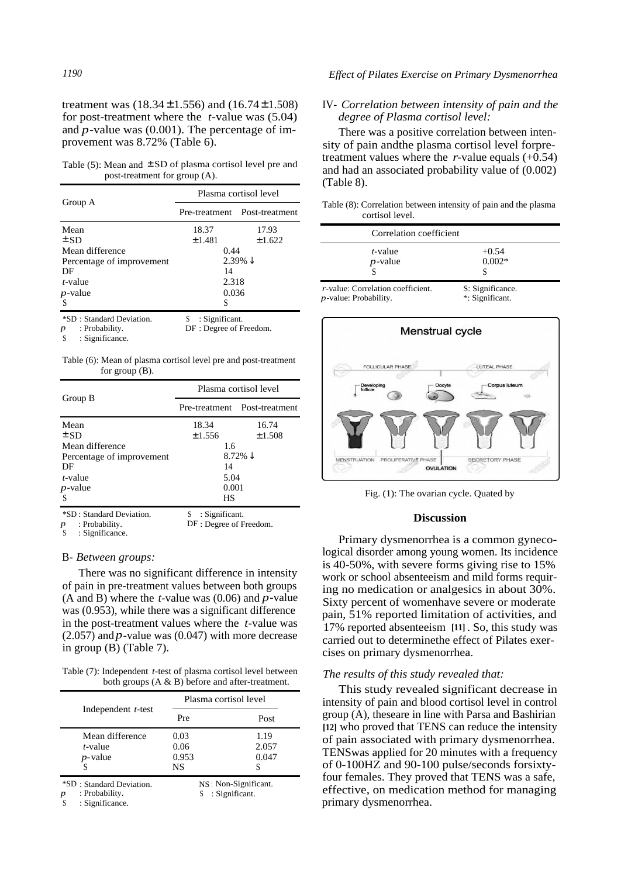treatment was  $(18.34 \pm 1.556)$  and  $(16.74 \pm 1.508)$ for post-treatment where the *t*-value was (5.04) and *p*-value was (0.001). The percentage of improvement was 8.72% (Table 6).

Table (5): Mean and  $\pm$  SD of plasma cortisol level pre and post-treatment for group (A).

|                                                 |                                                 | Plasma cortisol level<br>Pre-treatment Post-treatment<br>17.93<br>±1.622<br>0.44<br>$2.39\% \downarrow$<br>14<br>2.318<br>0.036<br>S |
|-------------------------------------------------|-------------------------------------------------|--------------------------------------------------------------------------------------------------------------------------------------|
| Group A                                         |                                                 |                                                                                                                                      |
| Mean                                            | 18.37                                           |                                                                                                                                      |
| $\pm$ SD                                        | ±1.481                                          |                                                                                                                                      |
| Mean difference                                 |                                                 |                                                                                                                                      |
| Percentage of improvement                       |                                                 |                                                                                                                                      |
| DF                                              |                                                 |                                                                                                                                      |
| t-value                                         |                                                 |                                                                                                                                      |
| $p$ -value                                      |                                                 |                                                                                                                                      |
| S                                               |                                                 |                                                                                                                                      |
| *SD: Standard Deviation.<br>: Probability.<br>p | : Significant.<br>S.<br>DF : Degree of Freedom. |                                                                                                                                      |

: Probability. *p* 

: Significance. S

Table (6): Mean of plasma cortisol level pre and post-treatment for group (B).

|                                                                                                  |                                                 | Plasma cortisol level<br>Pre-treatment Post-treatment<br>16.74<br>±1.508<br>1.6<br>8.72% $\downarrow$<br>14<br>5.04<br>0.001<br>НS |
|--------------------------------------------------------------------------------------------------|-------------------------------------------------|------------------------------------------------------------------------------------------------------------------------------------|
| Group B                                                                                          |                                                 |                                                                                                                                    |
| Mean                                                                                             | 18.34                                           |                                                                                                                                    |
| $\pm$ SD                                                                                         | ±1.556                                          |                                                                                                                                    |
| Mean difference                                                                                  |                                                 |                                                                                                                                    |
| Percentage of improvement                                                                        |                                                 |                                                                                                                                    |
| DF                                                                                               |                                                 |                                                                                                                                    |
| $t$ -value                                                                                       |                                                 |                                                                                                                                    |
| $p$ -value                                                                                       |                                                 |                                                                                                                                    |
| S                                                                                                |                                                 |                                                                                                                                    |
| *SD: Standard Deviation.<br>: Probability.<br>$\boldsymbol{p}$<br>. Cignificanos<br>$\mathbf{C}$ | : Significant.<br>S.<br>DF : Degree of Freedom. |                                                                                                                                    |

: Significance. S

#### B- *Between groups:*

There was no significant difference in intensity of pain in pre-treatment values between both groups (A and B) where the *t*-value was (0.06) and *p*-value was (0.953), while there was a significant difference in the post-treatment values where the *t*-value was  $(2.057)$  and *p*-value was  $(0.047)$  with more decrease in group (B) (Table 7).

Table (7): Independent *t*-test of plasma cortisol level between both groups (A & B) before and after-treatment.

|                                                                                        | Plasma cortisol level                  |                             |  |
|----------------------------------------------------------------------------------------|----------------------------------------|-----------------------------|--|
| Independent <i>t</i> -test                                                             | Pre                                    | Post                        |  |
| Mean difference<br>t-value<br>$p$ -value                                               | 0.03<br>0.06<br>0.953<br>NS            | 1.19<br>2.057<br>0.047<br>S |  |
| *SD: Standard Deviation.<br>: Probability.<br>$\boldsymbol{p}$<br>: Significance.<br>S | NS: Non-Significant.<br>: Significant. |                             |  |

## *1190 Effect of Pilates Exercise on Primary Dysmenorrhea*

#### IV- *Correlation between intensity of pain and the degree of Plasma cortisol level:*

There was a positive correlation between intensity of pain andthe plasma cortisol level forpretreatment values where the  $r$ -value equals  $(+0.54)$ and had an associated probability value of (0.002) (Table 8).

Table (8): Correlation between intensity of pain and the plasma cortisol level.

| Correlation coefficient           |                     |  |
|-----------------------------------|---------------------|--|
| $t$ -value<br>$p$ -value          | $+0.54$<br>$0.002*$ |  |
| r-value: Correlation coefficient. | S: Significance.    |  |

*p*-value: Probability. \*: Significant.



Fig. (1): The ovarian cycle. Quated by

#### **Discussion**

Primary dysmenorrhea is a common gynecological disorder among young women. Its incidence is 40-50%, with severe forms giving rise to 15% work or school absenteeism and mild forms requiring no medication or analgesics in about 30%. Sixty percent of womenhave severe or moderate pain, 51% reported limitation of activities, and 17% reported absenteeism **[11]** . So, this study was carried out to determinethe effect of Pilates exercises on primary dysmenorrhea.

#### *The results of this study revealed that:*

This study revealed significant decrease in intensity of pain and blood cortisol level in control group (A), theseare in line with Parsa and Bashirian **[12]** who proved that TENS can reduce the intensity of pain associated with primary dysmenorrhea. TENSwas applied for 20 minutes with a frequency of 0-100HZ and 90-100 pulse/seconds forsixtyfour females. They proved that TENS was a safe, effective, on medication method for managing primary dysmenorrhea.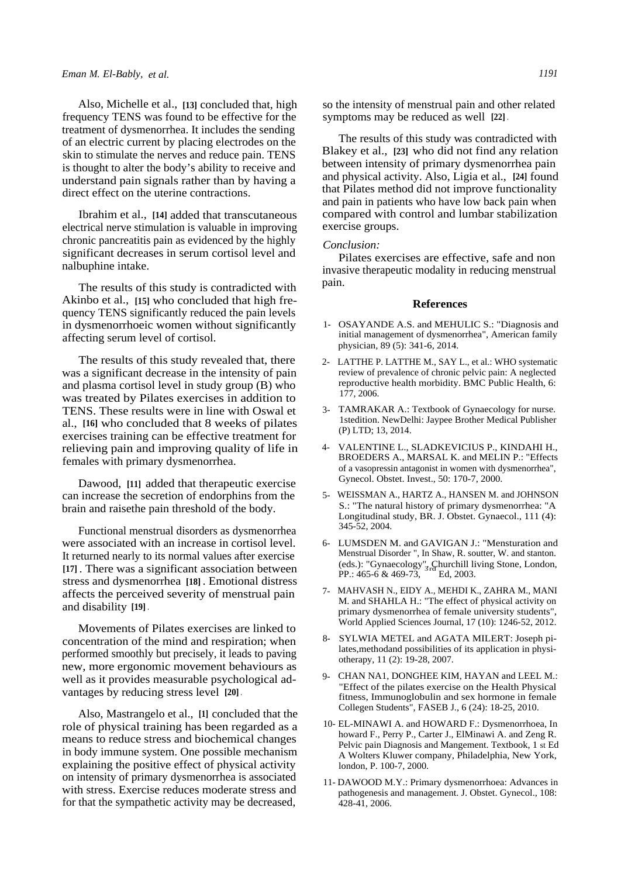Also, Michelle et al., **[13]** concluded that, high frequency TENS was found to be effective for the treatment of dysmenorrhea. It includes the sending of an electric current by placing electrodes on the skin to stimulate the nerves and reduce pain. TENS is thought to alter the body's ability to receive and understand pain signals rather than by having a direct effect on the uterine contractions.

Ibrahim et al., **[14]** added that transcutaneous electrical nerve stimulation is valuable in improving chronic pancreatitis pain as evidenced by the highly significant decreases in serum cortisol level and nalbuphine intake.

The results of this study is contradicted with Akinbo et al., **[15]** who concluded that high frequency TENS significantly reduced the pain levels in dysmenorrhoeic women without significantly affecting serum level of cortisol.

The results of this study revealed that, there was a significant decrease in the intensity of pain and plasma cortisol level in study group (B) who was treated by Pilates exercises in addition to TENS. These results were in line with Oswal et al., **[16]** who concluded that 8 weeks of pilates exercises training can be effective treatment for relieving pain and improving quality of life in females with primary dysmenorrhea.

Dawood, **[11]** added that therapeutic exercise can increase the secretion of endorphins from the brain and raisethe pain threshold of the body.

Functional menstrual disorders as dysmenorrhea were associated with an increase in cortisol level. It returned nearly to its normal values after exercise **[17]** . There was a significant association between stress and dysmenorrhea **[18]** . Emotional distress affects the perceived severity of menstrual pain and disability **[19]** .

Movements of Pilates exercises are linked to concentration of the mind and respiration; when performed smoothly but precisely, it leads to paving new, more ergonomic movement behaviours as well as it provides measurable psychological advantages by reducing stress level **[20]** .

Also, Mastrangelo et al., **[1]** concluded that the role of physical training has been regarded as a means to reduce stress and biochemical changes in body immune system. One possible mechanism explaining the positive effect of physical activity on intensity of primary dysmenorrhea is associated with stress. Exercise reduces moderate stress and for that the sympathetic activity may be decreased,

so the intensity of menstrual pain and other related symptoms may be reduced as well **[22]** .

The results of this study was contradicted with Blakey et al., **[23]** who did not find any relation between intensity of primary dysmenorrhea pain and physical activity. Also, Ligia et al., **[24]** found that Pilates method did not improve functionality and pain in patients who have low back pain when compared with control and lumbar stabilization exercise groups.

#### *Conclusion:*

Pilates exercises are effective, safe and non invasive therapeutic modality in reducing menstrual pain.

#### **References**

- 1- OSAYANDE A.S. and MEHULIC S.: "Diagnosis and initial management of dysmenorrhea", American family physician, 89 (5): 341-6, 2014.
- 2- LATTHE P. LATTHE M., SAY L., et al.: WHO systematic review of prevalence of chronic pelvic pain: A neglected reproductive health morbidity. BMC Public Health, 6: 177, 2006.
- 3- TAMRAKAR A.: Textbook of Gynaecology for nurse. 1stedition. NewDelhi: Jaypee Brother Medical Publisher (P) LTD; 13, 2014.
- 4- VALENTINE L., SLADKEVICIUS P., KINDAHI H., BROEDERS A., MARSAL K. and MELIN P.: "Effects of a vasopressin antagonist in women with dysmenorrhea", Gynecol. Obstet. Invest., 50: 170-7, 2000.
- 5- WEISSMAN A., HARTZ A., HANSEN M. and JOHNSON S.: "The natural history of primary dysmenorrhea: "A Longitudinal study, BR. J. Obstet. Gynaecol., 111 (4): 345-52, 2004.
- 6- LUMSDEN M. and GAVIGAN J.: "Mensturation and Menstrual Disorder ", In Shaw, R. soutter, W. and stanton. (eds.): "Gynaecology", Churchill living Stone, London, PP.: 465-6 & 469-73, Ed, 2003.
- 7- MAHVASH N., EIDY A., MEHDI K., ZAHRA M., MANI M. and SHAHLA H.: "The effect of physical activity on primary dysmenorrhea of female university students", World Applied Sciences Journal, 17 (10): 1246-52, 2012.
- 8- SYLWIA METEL and AGATA MILERT: Joseph pilates,methodand possibilities of its application in physiotherapy, 11 (2): 19-28, 2007.
- 9- CHAN NA1, DONGHEE KIM, HAYAN and LEEL M.: "Effect of the pilates exercise on the Health Physical fitness, Immunoglobulin and sex hormone in female Collegen Students", FASEB J., 6 (24): 18-25, 2010.
- 10- EL-MINAWI A. and HOWARD F.: Dysmenorrhoea, In howard F., Perry P., Carter J., ElMinawi A. and Zeng R. Pelvic pain Diagnosis and Mangement. Textbook, 1 st Ed A Wolters Kluwer company, Philadelphia, New York, london, P. 100-7, 2000.
- 11- DAWOOD M.Y.: Primary dysmenorrhoea: Advances in pathogenesis and management. J. Obstet. Gynecol., 108: 428-41, 2006.